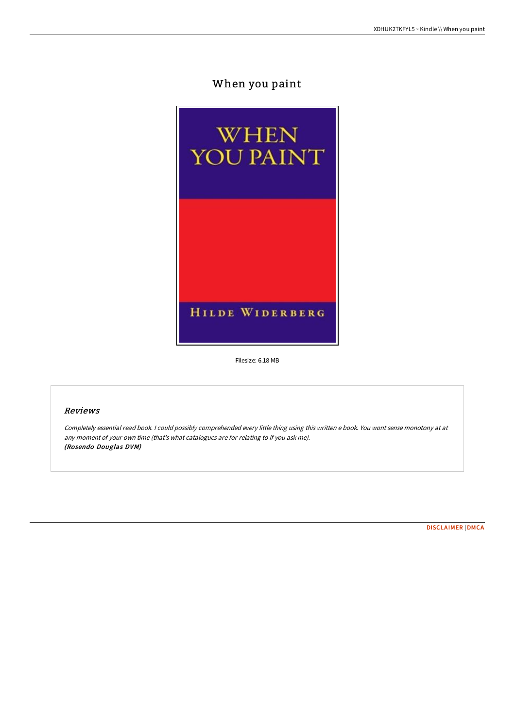# When you paint



Filesize: 6.18 MB

# Reviews

Completely essential read book. I could possibly comprehended every little thing using this written <sup>e</sup> book. You wont sense monotony at at any moment of your own time (that's what catalogues are for relating to if you ask me). (Rosendo Douglas DVM)

[DISCLAIMER](http://www.bookdirs.com/disclaimer.html) | [DMCA](http://www.bookdirs.com/dmca.html)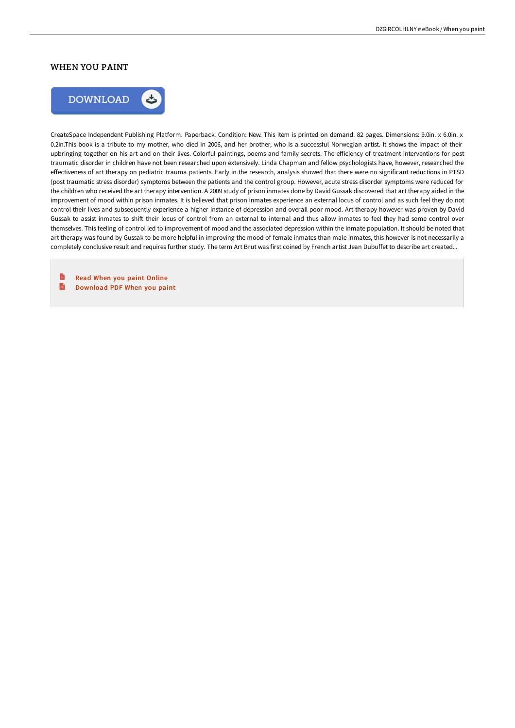## WHEN YOU PAINT



CreateSpace Independent Publishing Platform. Paperback. Condition: New. This item is printed on demand. 82 pages. Dimensions: 9.0in. x 6.0in. x 0.2in.This book is a tribute to my mother, who died in 2006, and her brother, who is a successful Norwegian artist. It shows the impact of their upbringing together on his art and on their lives. Colorful paintings, poems and family secrets. The efficiency of treatment interventions for post traumatic disorder in children have not been researched upon extensively. Linda Chapman and fellow psychologists have, however, researched the effectiveness of art therapy on pediatric trauma patients. Early in the research, analysis showed that there were no significant reductions in PTSD (post traumatic stress disorder) symptoms between the patients and the control group. However, acute stress disorder symptoms were reduced for the children who received the art therapy intervention. A 2009 study of prison inmates done by David Gussak discovered that art therapy aided in the improvement of mood within prison inmates. It is believed that prison inmates experience an external locus of control and as such feel they do not control their lives and subsequently experience a higher instance of depression and overall poor mood. Art therapy however was proven by David Gussak to assist inmates to shift their locus of control from an external to internal and thus allow inmates to feel they had some control over themselves. This feeling of control led to improvement of mood and the associated depression within the inmate population. It should be noted that art therapy was found by Gussak to be more helpful in improving the mood of female inmates than male inmates, this however is not necessarily a completely conclusive result and requires further study. The term Art Brut was first coined by French artist Jean Dubuffet to describe art created...

B Read When you paint [Online](http://www.bookdirs.com/when-you-paint.html)  $\overline{\mathbf{m}}$ [Download](http://www.bookdirs.com/when-you-paint.html) PDF When you paint